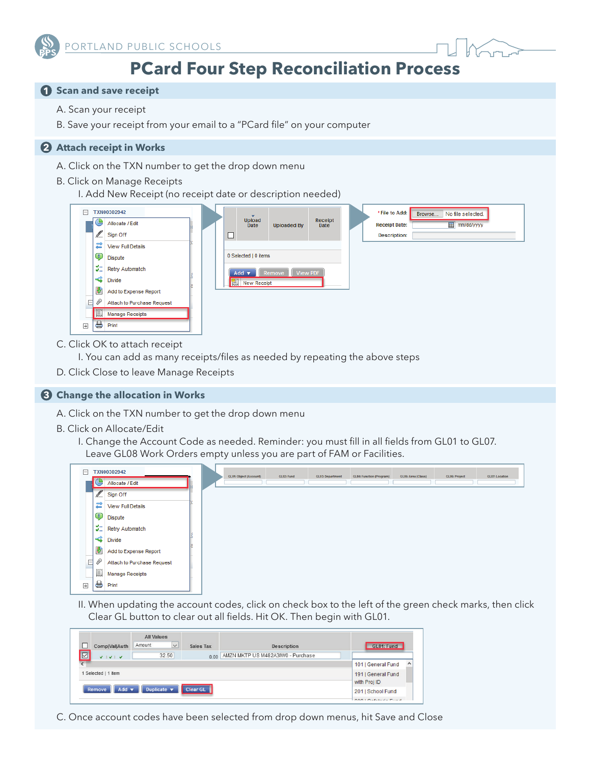



# **PCard Four Step Reconciliation Process**

# **1 Scan and save receipt**

- A. Scan your receipt
- B. Save your receipt from your email to a "PCard file" on your computer

### **2 Attach receipt in Works**

A. Click on the TXN number to get the drop down menu

#### B. Click on Manage Receipts

I. Add New Receipt (no receipt date or description needed)

| F<br>TXN00302942 |           |                            |  |                                                       |                       |                    |                 |  | *File to Add:<br>No file selected.<br>Browse   |  |  |
|------------------|-----------|----------------------------|--|-------------------------------------------------------|-----------------------|--------------------|-----------------|--|------------------------------------------------|--|--|
|                  | G         | Allocate / Edit            |  |                                                       | <b>Upload</b><br>Date | <b>Uploaded By</b> | Receipt<br>Date |  | <b>Fill</b> mm/dd/yyyy<br><b>Receipt Date:</b> |  |  |
|                  | Í         | Sign Off                   |  | □                                                     |                       |                    |                 |  | <b>Description:</b>                            |  |  |
|                  | ≓         | <b>View Full Details</b>   |  |                                                       |                       |                    |                 |  |                                                |  |  |
|                  | Ţ         | Dispute                    |  | 0 Selected   0 items                                  |                       |                    |                 |  |                                                |  |  |
|                  | 牡         | <b>Retry Automatch</b>     |  | <b>View PDF</b><br>Add $\blacktriangledown$<br>Remove |                       |                    |                 |  |                                                |  |  |
|                  | ⋖         | Divide                     |  | iiii New Receipt                                      |                       |                    |                 |  |                                                |  |  |
|                  | 裴         | Add to Expense Report      |  |                                                       |                       |                    |                 |  |                                                |  |  |
| Ε                | D         | Attach to Purchase Request |  |                                                       |                       |                    |                 |  |                                                |  |  |
|                  | 買         | <b>Manage Receipts</b>     |  |                                                       |                       |                    |                 |  |                                                |  |  |
| $\boxplus$       | $\ominus$ | Print                      |  |                                                       |                       |                    |                 |  |                                                |  |  |

- C. Click OK to attach receipt
	- I. You can add as many receipts/files as needed by repeating the above steps
- D. Click Close to leave Manage Receipts

## **Change the allocation in Works 3**

- A. Click on the TXN number to get the drop down menu
- B. Click on Allocate/Edit
	- I. Change the Account Code as needed. Reminder: you must fill in all fields from GL01 to GL07. Leave GL08 Work Orders empty unless you are part of FAM or Facilities.



II. When updating the account codes, click on check box to the left of the green check marks, then click Clear GL button to clear out all fields. Hit OK. Then begin with GL01.

| Comp Val Auth                              | <b>All Values</b><br>Amount<br>$\vee$     | Sales Tax | <b>Description</b>                     | GL01: Fund |
|--------------------------------------------|-------------------------------------------|-----------|----------------------------------------|------------|
| $\overline{\triangleright}$<br>$V$ $V$ $V$ | 32.50                                     |           | 0.00 AMZN MKTP US M482A3IW0 - Purchase |            |
| $\epsilon$                                 | $\hat{\phantom{a}}$<br>101   General Fund |           |                                        |            |
| Selected   1 item                          | 191   General Fund<br>with Proj ID        |           |                                        |            |
| Add $\blacktriangledown$<br>Remove         | 201   School Fund                         |           |                                        |            |
|                                            | $00010 - 544 - 56$                        |           |                                        |            |

C. Once account codes have been selected from drop down menus, hit Save and Close